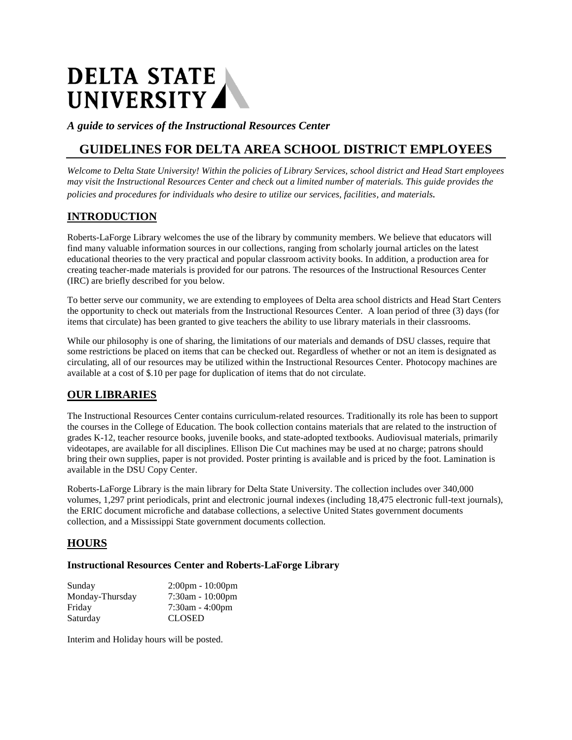# DELTA STATE<br>UNIVERSITY

*A guide to services of the Instructional Resources Center*

# **GUIDELINES FOR DELTA AREA SCHOOL DISTRICT EMPLOYEES**

*Welcome to Delta State University! Within the policies of Library Services, school district and Head Start employees may visit the Instructional Resources Center and check out a limited number of materials. This guide provides the policies and procedures for individuals who desire to utilize our services, facilities, and materials.*

### **INTRODUCTION**

Roberts-LaForge Library welcomes the use of the library by community members. We believe that educators will find many valuable information sources in our collections, ranging from scholarly journal articles on the latest educational theories to the very practical and popular classroom activity books. In addition, a production area for creating teacher-made materials is provided for our patrons. The resources of the Instructional Resources Center (IRC) are briefly described for you below.

To better serve our community, we are extending to employees of Delta area school districts and Head Start Centers the opportunity to check out materials from the Instructional Resources Center. A loan period of three (3) days (for items that circulate) has been granted to give teachers the ability to use library materials in their classrooms.

While our philosophy is one of sharing, the limitations of our materials and demands of DSU classes, require that some restrictions be placed on items that can be checked out. Regardless of whether or not an item is designated as circulating, all of our resources may be utilized within the Instructional Resources Center. Photocopy machines are available at a cost of \$.10 per page for duplication of items that do not circulate.

#### **OUR LIBRARIES**

The Instructional Resources Center contains curriculum-related resources. Traditionally its role has been to support the courses in the College of Education. The book collection contains materials that are related to the instruction of grades K-12, teacher resource books, juvenile books, and state-adopted textbooks. Audiovisual materials, primarily videotapes, are available for all disciplines. Ellison Die Cut machines may be used at no charge; patrons should bring their own supplies, paper is not provided. Poster printing is available and is priced by the foot. Lamination is available in the DSU Copy Center.

Roberts-LaForge Library is the main library for Delta State University. The collection includes over 340,000 volumes, 1,297 print periodicals, print and electronic journal indexes (including 18,475 electronic full-text journals), the ERIC document microfiche and database collections, a selective United States government documents collection, and a Mississippi State government documents collection.

#### **HOURS**

#### **Instructional Resources Center and Roberts-LaForge Library**

| Sunday          | $2:00$ pm - $10:00$ pm |
|-----------------|------------------------|
| Monday-Thursday | $7:30am - 10:00pm$     |
| Friday          | $7:30$ am - 4:00pm     |
| Saturday        | <b>CLOSED</b>          |

Interim and Holiday hours will be posted.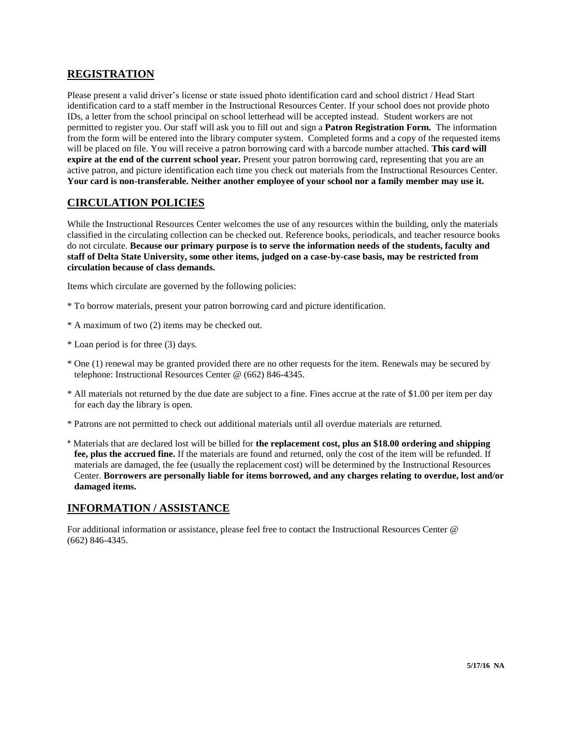#### **REGISTRATION**

Please present a valid driver's license or state issued photo identification card and school district / Head Start identification card to a staff member in the Instructional Resources Center. If your school does not provide photo IDs, a letter from the school principal on school letterhead will be accepted instead. Student workers are not permitted to register you. Our staff will ask you to fill out and sign a **Patron Registration Form.** The information from the form will be entered into the library computer system. Completed forms and a copy of the requested items will be placed on file. You will receive a patron borrowing card with a barcode number attached. **This card will expire at the end of the current school year.** Present your patron borrowing card, representing that you are an active patron, and picture identification each time you check out materials from the Instructional Resources Center. **Your card is non-transferable. Neither another employee of your school nor a family member may use it.**

#### **CIRCULATION POLICIES**

While the Instructional Resources Center welcomes the use of any resources within the building, only the materials classified in the circulating collection can be checked out. Reference books, periodicals, and teacher resource books do not circulate. **Because our primary purpose is to serve the information needs of the students, faculty and staff of Delta State University, some other items, judged on a case-by-case basis, may be restricted from circulation because of class demands.**

Items which circulate are governed by the following policies:

- \* To borrow materials, present your patron borrowing card and picture identification.
- \* A maximum of two (2) items may be checked out.
- \* Loan period is for three (3) days.
- \* One (1) renewal may be granted provided there are no other requests for the item. Renewals may be secured by telephone: Instructional Resources Center @ (662) 846-4345.
- \* All materials not returned by the due date are subject to a fine. Fines accrue at the rate of \$1.00 per item per day for each day the library is open.
- \* Patrons are not permitted to check out additional materials until all overdue materials are returned.
- \* Materials that are declared lost will be billed for **the replacement cost, plus an \$18.00 ordering and shipping fee, plus the accrued fine.** If the materials are found and returned, only the cost of the item will be refunded. If materials are damaged, the fee (usually the replacement cost) will be determined by the Instructional Resources Center. **Borrowers are personally liable for items borrowed, and any charges relating to overdue, lost and/or damaged items.**

#### **INFORMATION / ASSISTANCE**

For additional information or assistance, please feel free to contact the Instructional Resources Center @ (662) 846-4345.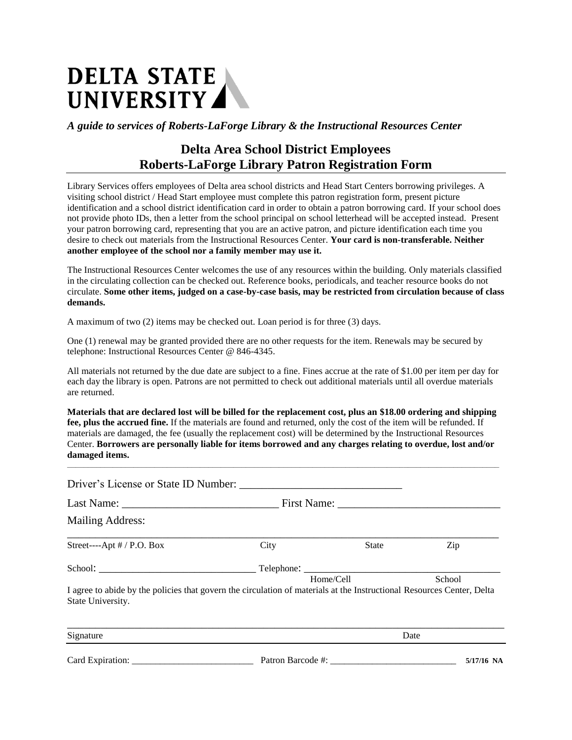# DELTA STATE UNIVERSITY

*A guide to services of Roberts-LaForge Library & the Instructional Resources Center*

# **Delta Area School District Employees Roberts-LaForge Library Patron Registration Form**

Library Services offers employees of Delta area school districts and Head Start Centers borrowing privileges. A visiting school district / Head Start employee must complete this patron registration form, present picture identification and a school district identification card in order to obtain a patron borrowing card. If your school does not provide photo IDs, then a letter from the school principal on school letterhead will be accepted instead. Present your patron borrowing card, representing that you are an active patron, and picture identification each time you desire to check out materials from the Instructional Resources Center. **Your card is non-transferable. Neither another employee of the school nor a family member may use it.**

The Instructional Resources Center welcomes the use of any resources within the building. Only materials classified in the circulating collection can be checked out. Reference books, periodicals, and teacher resource books do not circulate. **Some other items, judged on a case-by-case basis, may be restricted from circulation because of class demands.**

A maximum of two (2) items may be checked out. Loan period is for three (3) days.

One (1) renewal may be granted provided there are no other requests for the item. Renewals may be secured by telephone: Instructional Resources Center @ 846-4345.

All materials not returned by the due date are subject to a fine. Fines accrue at the rate of \$1.00 per item per day for each day the library is open. Patrons are not permitted to check out additional materials until all overdue materials are returned.

**Materials that are declared lost will be billed for the replacement cost, plus an \$18.00 ordering and shipping fee, plus the accrued fine.** If the materials are found and returned, only the cost of the item will be refunded. If materials are damaged, the fee (usually the replacement cost) will be determined by the Instructional Resources Center. **Borrowers are personally liable for items borrowed and any charges relating to overdue, lost and/or damaged items.**

**\_\_\_\_\_\_\_\_\_\_\_\_\_\_\_\_\_\_\_\_\_\_\_\_\_\_\_\_\_\_\_\_\_\_\_\_\_\_\_\_\_\_\_\_\_\_\_\_\_\_\_\_\_\_\_\_\_\_\_\_\_\_\_\_\_\_\_\_\_\_\_\_\_\_\_\_\_\_\_\_\_\_\_\_\_\_\_\_\_\_\_\_\_\_\_\_\_\_\_\_\_\_\_\_**

| Driver's License or State ID Number:                                                                                                                               |      |              |      |  |
|--------------------------------------------------------------------------------------------------------------------------------------------------------------------|------|--------------|------|--|
|                                                                                                                                                                    |      |              |      |  |
| <b>Mailing Address:</b>                                                                                                                                            |      |              |      |  |
| Street----Apt # / P.O. Box                                                                                                                                         | City | <b>State</b> | Zip  |  |
|                                                                                                                                                                    |      |              |      |  |
| Home/Cell<br>School<br>I agree to abide by the policies that govern the circulation of materials at the Instructional Resources Center, Delta<br>State University. |      |              |      |  |
| Signature                                                                                                                                                          |      |              | Date |  |

Card Expiration: **Expiration: Card Expiration: Card Expiration: 5/17/16 NA**